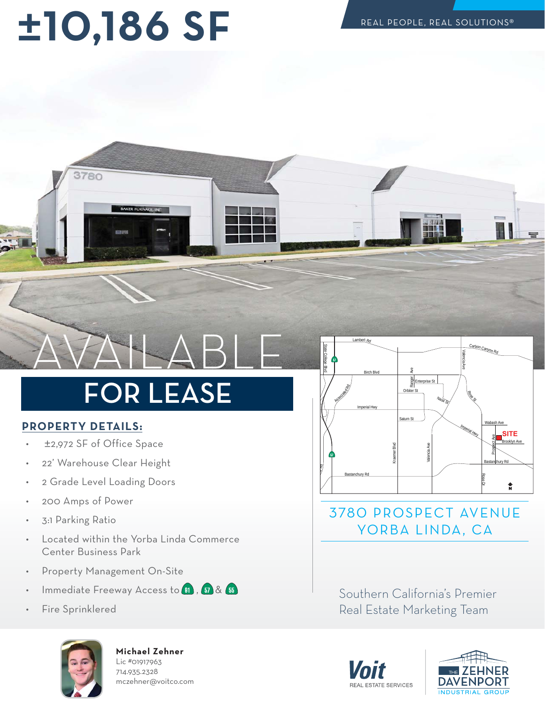## **±--SF**



### **FOR LEASE** FOR LEASE

#### **PROPERTY DETAILS:**

- ±2,972 SF of Office Space
- 22' Warehouse Clear Height
- 2 Grade Level Loading Doors
- 200 Amps of Power
- 3:1 Parking Ratio
- Located within the Yorba Linda Commerce Center Business Park
- Property Management On-Site
- Immediate Freeway Access to  $\overline{w}$ ,  $\overline{w}$  &  $\overline{w}$
- Fire Sprinklered



**Michael Zehner** Lic #01917963 714.935.2328 mczehner@voitco.com



#### 3780 PROSPECT AVENUE YORBA LINDA, CA

n<br>Doal Estate Marketing Team Real Estate Marketing Team